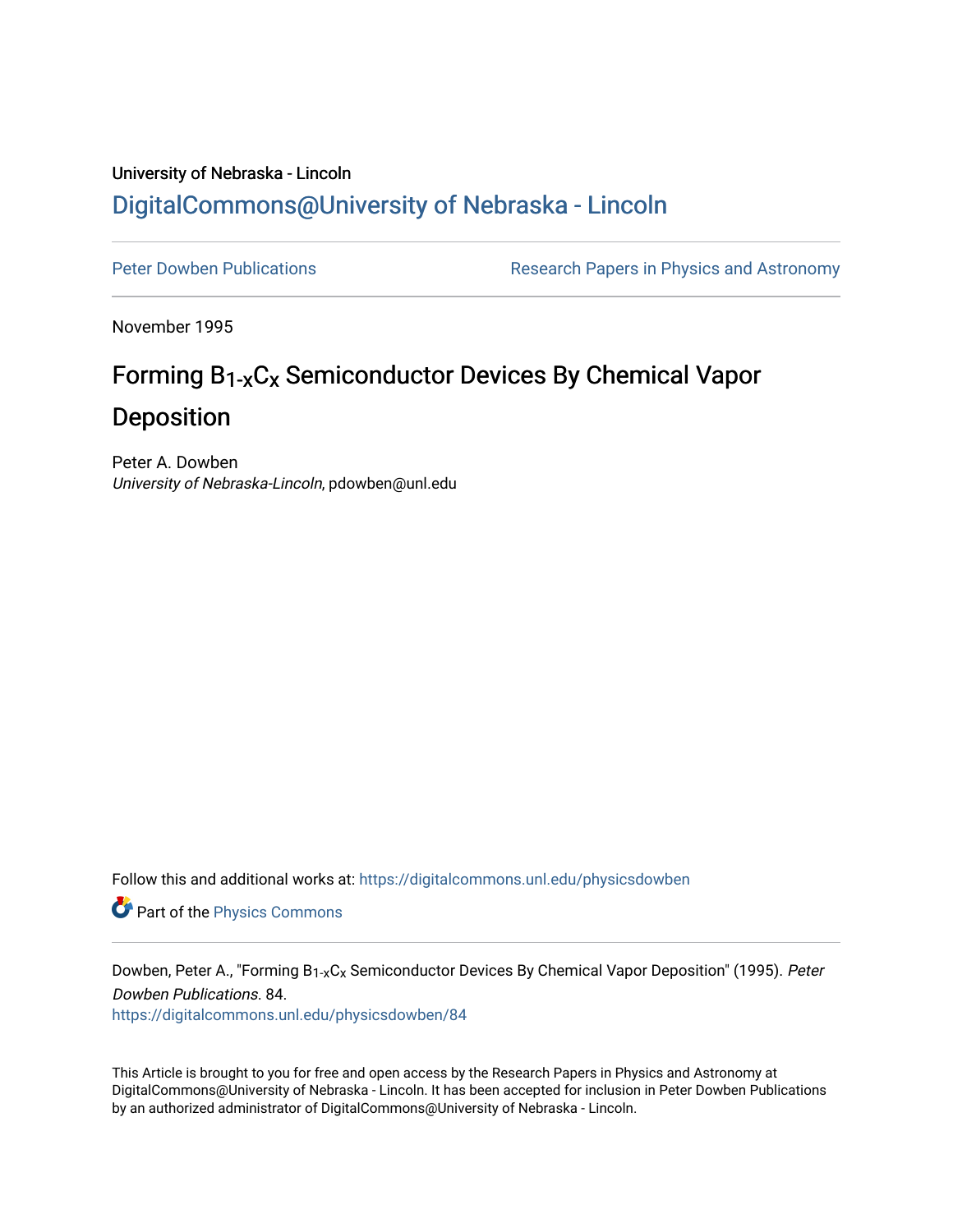## University of Nebraska - Lincoln [DigitalCommons@University of Nebraska - Lincoln](https://digitalcommons.unl.edu/)

[Peter Dowben Publications](https://digitalcommons.unl.edu/physicsdowben) **Research Papers in Physics and Astronomy** 

November 1995

# Forming B1-xCx Semiconductor Devices By Chemical Vapor Deposition

Peter A. Dowben University of Nebraska-Lincoln, pdowben@unl.edu

Follow this and additional works at: [https://digitalcommons.unl.edu/physicsdowben](https://digitalcommons.unl.edu/physicsdowben?utm_source=digitalcommons.unl.edu%2Fphysicsdowben%2F84&utm_medium=PDF&utm_campaign=PDFCoverPages) 

Part of the [Physics Commons](http://network.bepress.com/hgg/discipline/193?utm_source=digitalcommons.unl.edu%2Fphysicsdowben%2F84&utm_medium=PDF&utm_campaign=PDFCoverPages)

Dowben, Peter A., "Forming B<sub>1-x</sub>C<sub>x</sub> Semiconductor Devices By Chemical Vapor Deposition" (1995). Peter Dowben Publications. 84.

[https://digitalcommons.unl.edu/physicsdowben/84](https://digitalcommons.unl.edu/physicsdowben/84?utm_source=digitalcommons.unl.edu%2Fphysicsdowben%2F84&utm_medium=PDF&utm_campaign=PDFCoverPages)

This Article is brought to you for free and open access by the Research Papers in Physics and Astronomy at DigitalCommons@University of Nebraska - Lincoln. It has been accepted for inclusion in Peter Dowben Publications by an authorized administrator of DigitalCommons@University of Nebraska - Lincoln.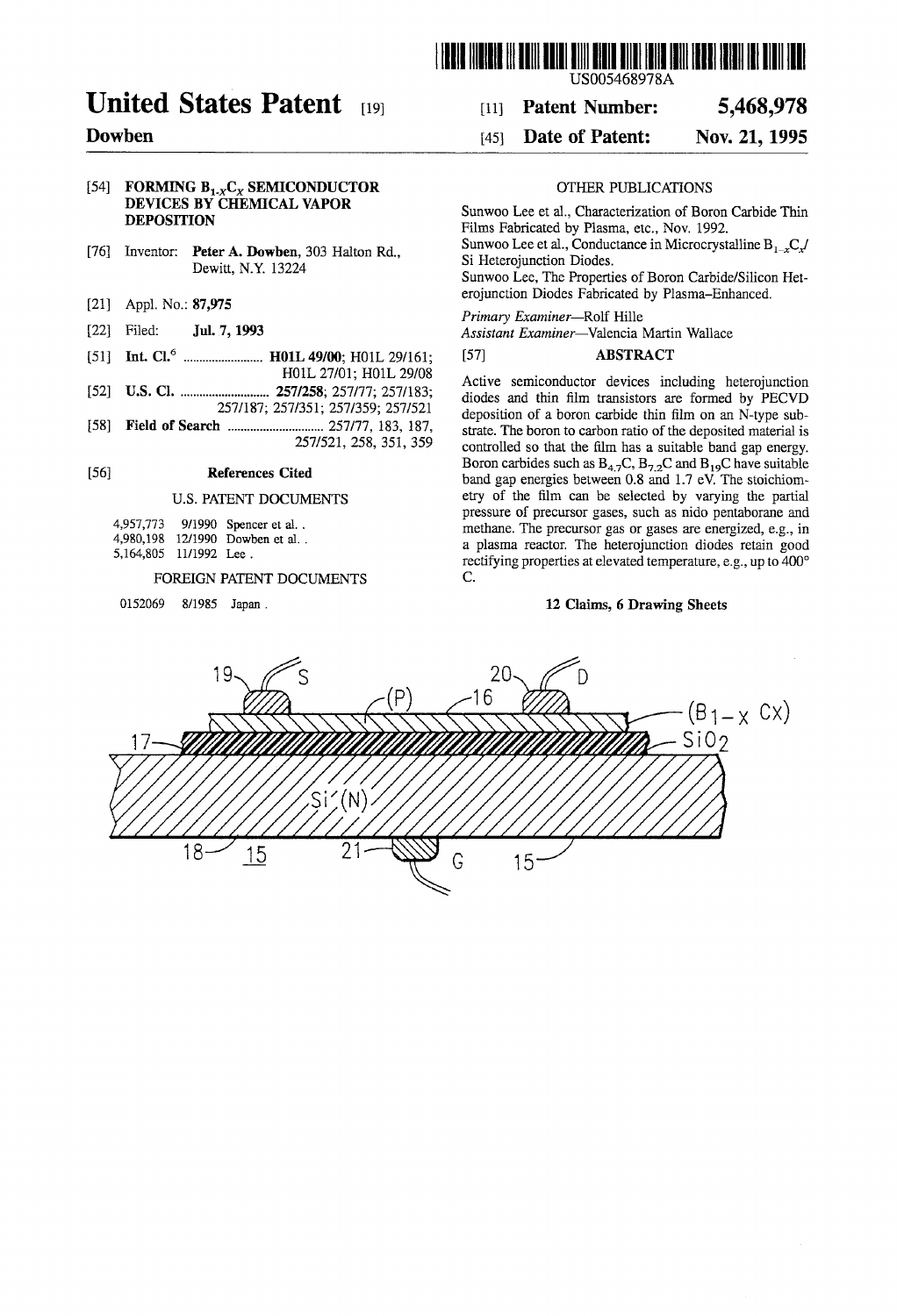

### US005468978A

## United States Patent <sup>[19]</sup> [11] Patent Number: 5,468,978

### **Dowben** [45] **Date of Patent: Nov. 21, 1995**

### 1541 **FORMING B,,C, SEMICONDUCTOR DEVICES BY CHEMICAL VAPOR DEPOSITION**

- [76] Inventor: **Peter A. Dowben**, 303 Halton Rd., Dewitt, N.Y. 13224
- [21] Appl. No.: 87,975
- [22] Filed: **Jul.** 7, **1993**
- [51] **Int. CL6** ......................... **HOlL** 49100; HOlL 291161; H01L 27/01; H01L 29/08
- [52] **U.S. Cl.** ............................ 2571258; 257177; 2571183;
- 2571187; 2571351; 2571359; 2571521
- [58] **Field of Search** .............................. 257177, 183, 187, 2571521, 258, 351, 359

### 1561 **References Cited**

### U.S. PATENT DOCUMENTS

4,957,773 911990 Spencer et al. . 4,980,198 1211990 Dowben et al. . 5,164,805 1111992 Lee .

### FOREIGN PATENT DOCUMENTS

0152069 8/1985 Japan.

## OTHER PUBLICATIONS

Sunwoo Lee et al., Characterization of Boron Carbide Thin Films Fabricated by Plasma, etc., Nov. 1992. Sunwoo Lee et al., Conductance in Microcrystalline  $B_{1}C$ . Si Heterojunction Diodes. Sunwoo Lee, The Properties of Boron Carbide/Silicon Heterojunction Diodes Fabricated by Plasma-Enhanced.

Primary Examiner-Rolf Hille

Assistant Examiner-Valencia Martin Wallace

### [571 **ABSTRACT**

Active semiconductor devices including heterojunction diodes and thin film transistors are formed by PECVD deposition of a boron carbide thin film on an N-type substrate. The boron to carbon ratio of the deposited material is controlled so that the film has a suitable band gap energy. Boron carbides such as  $B_{4.7}C$ ,  $B_{7.2}C$  and  $B_{19}C$  have suitable band gap energies between 0.8 and 1.7 eV. The stoichiometry of the film can be selected by varying the partial pressure of precursor gases, such as nido pentaborane and methane. The precursor gas or gases are energized, e.g., in a plasma reactor. The heterojunction diodes retain good rectifying properties at elevated temperature, e.g., up to 400' C.

### **12 Claims, 6 Drawing Sheets**

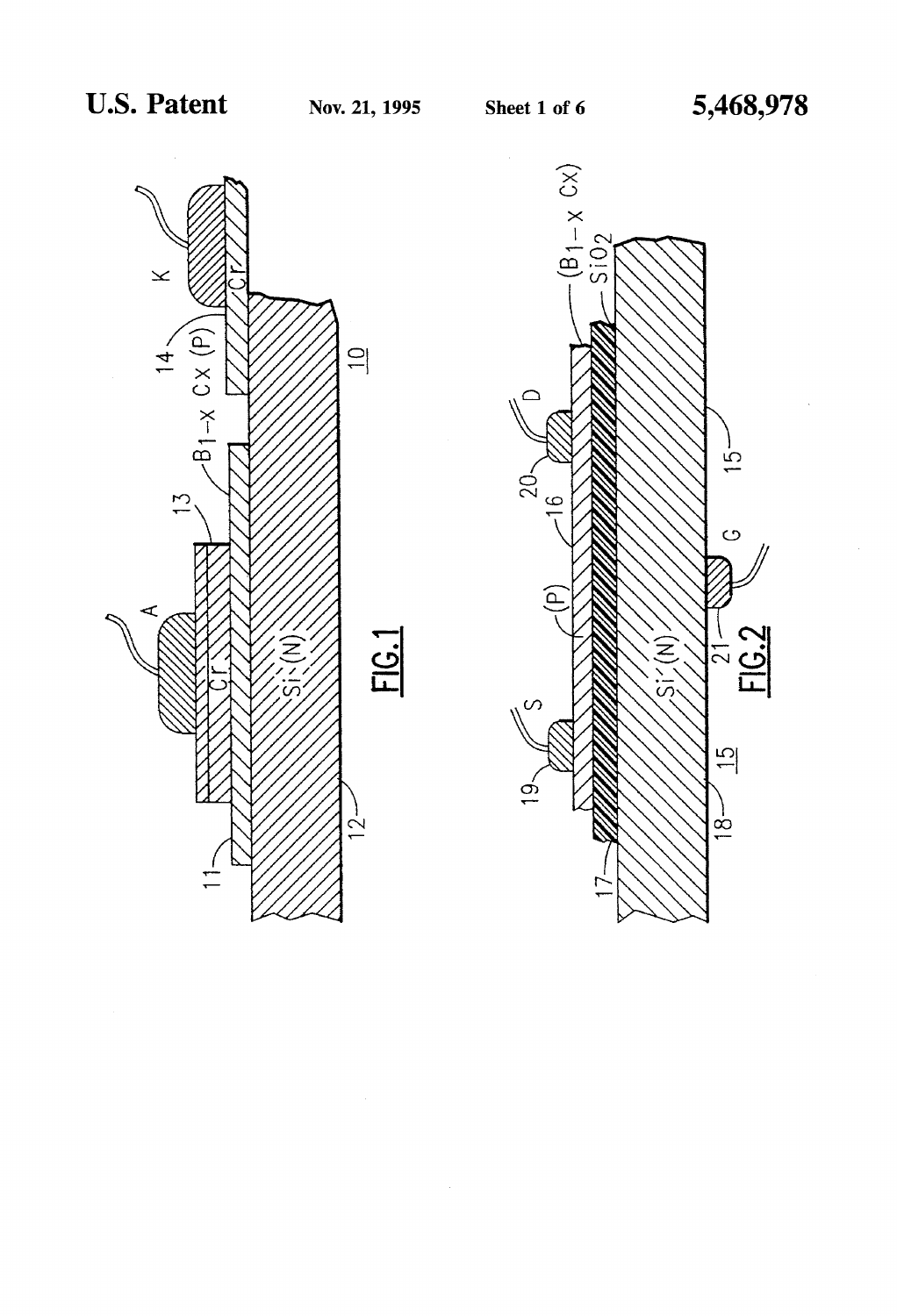

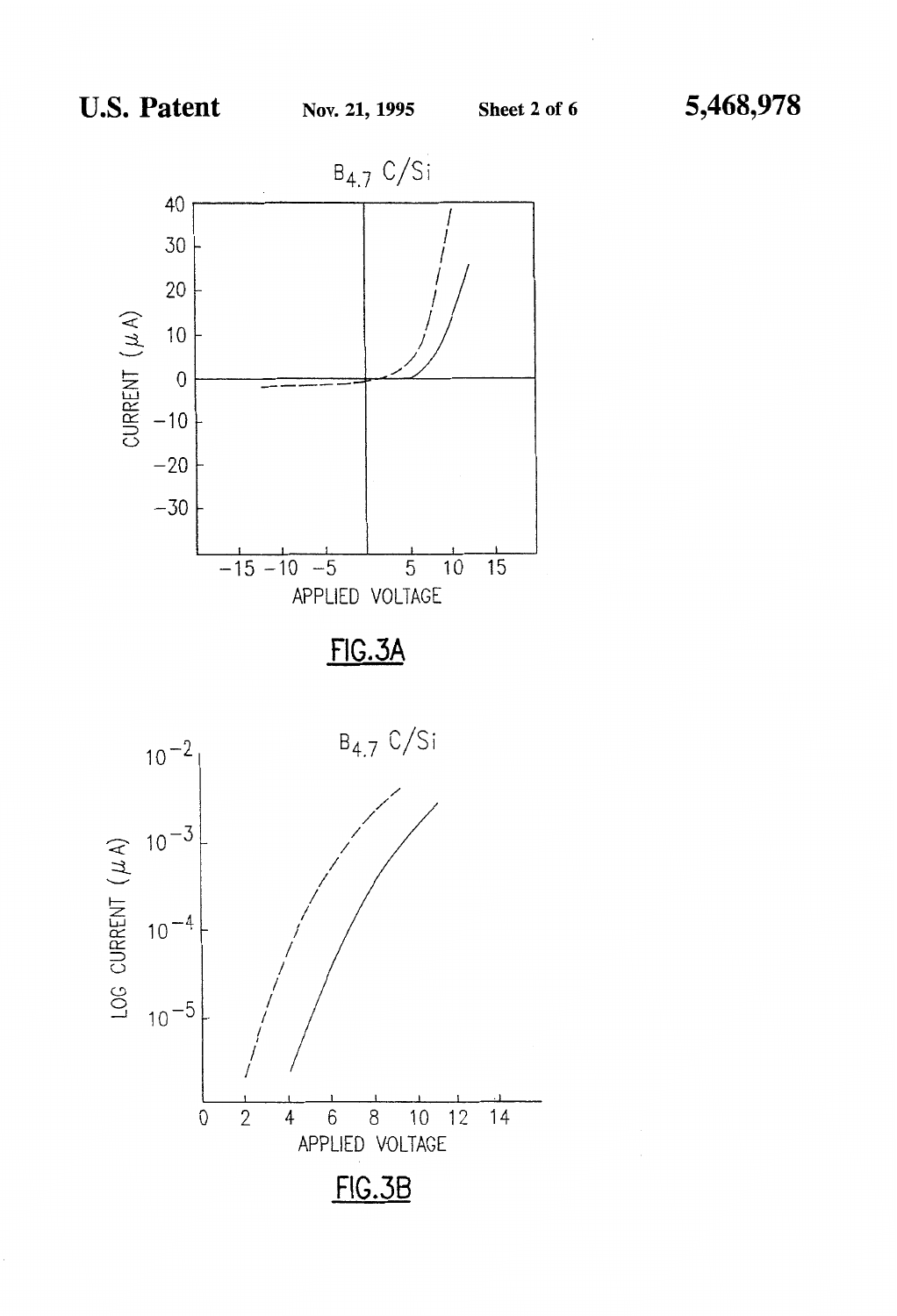



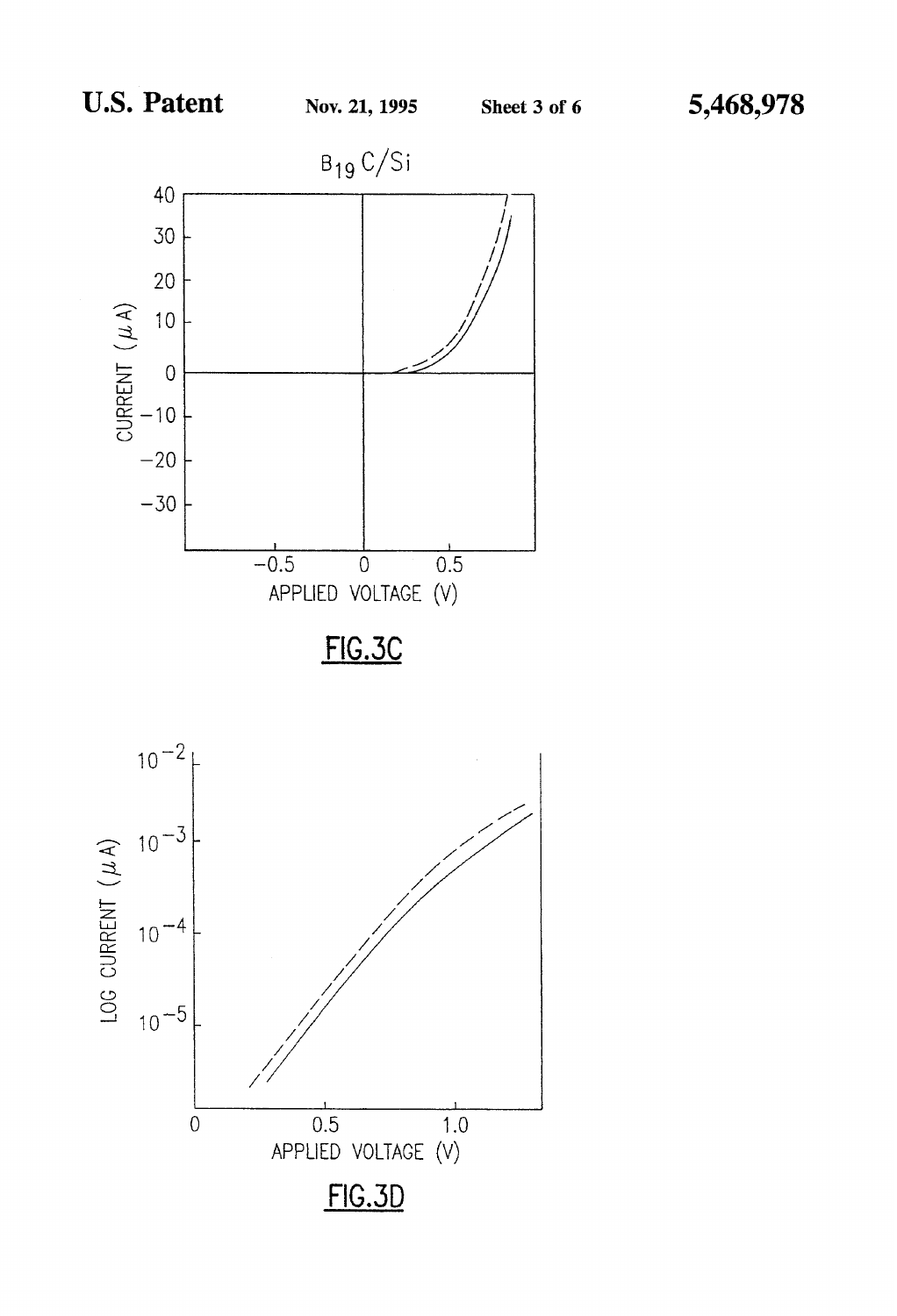



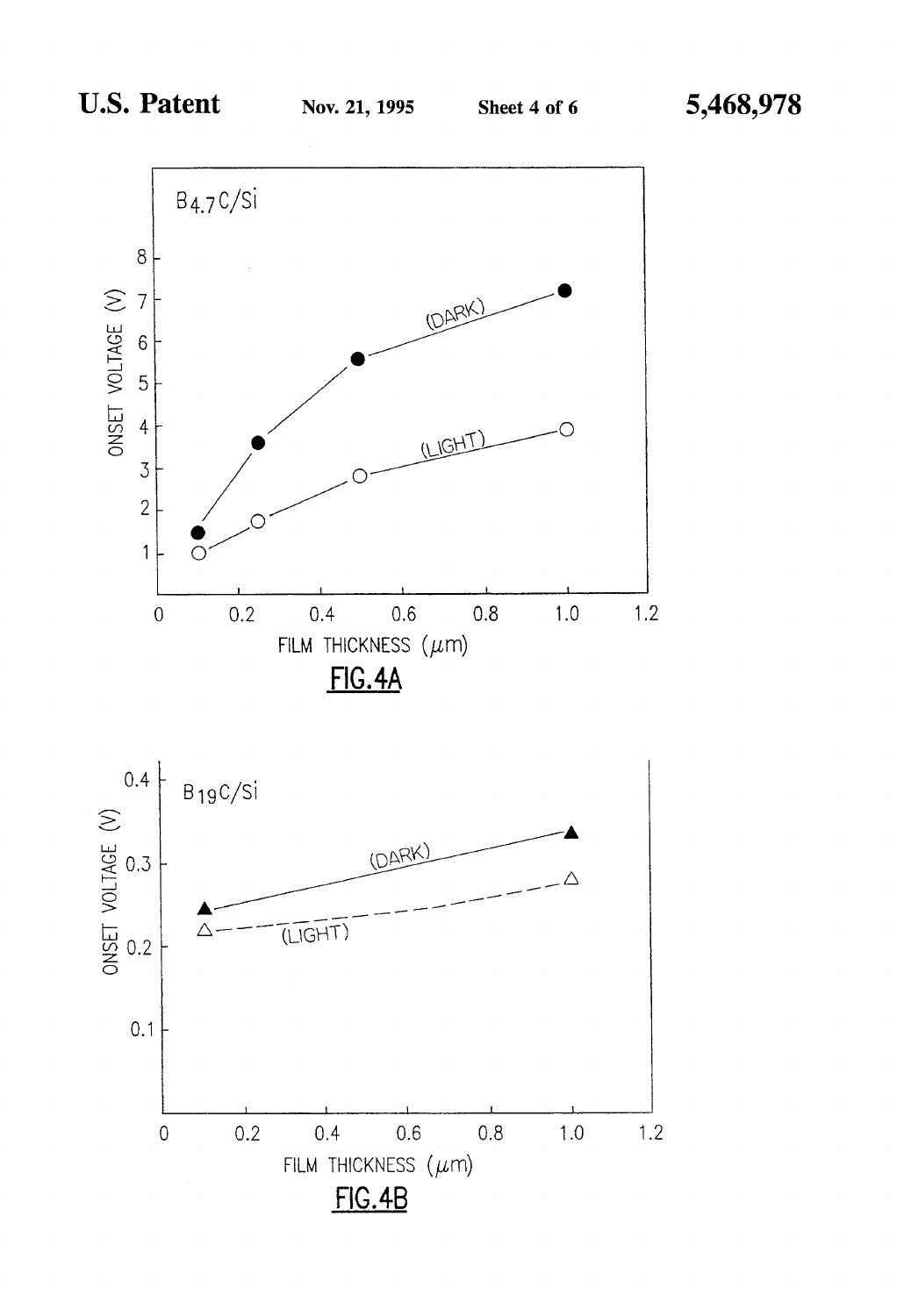

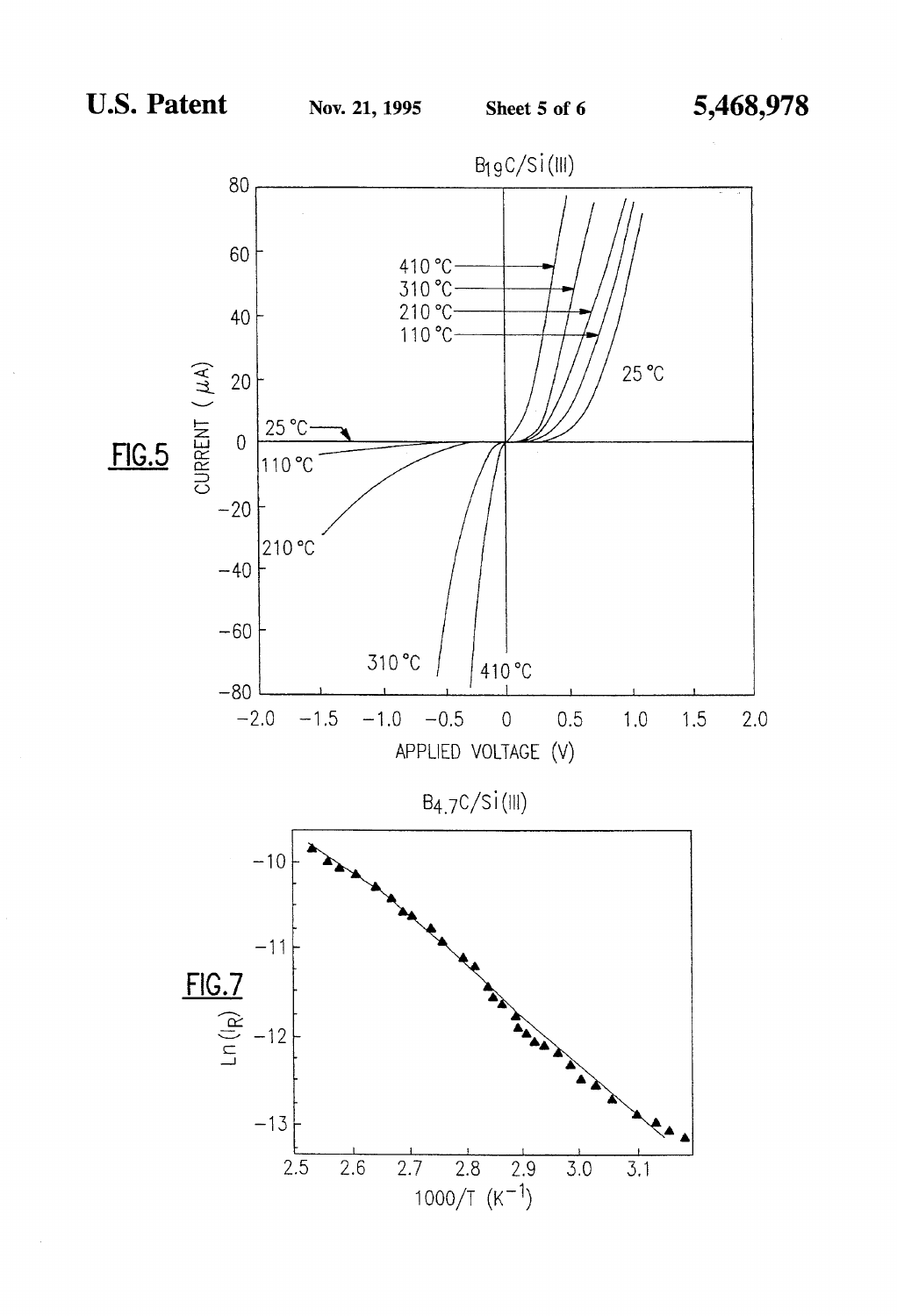$\sim$ 

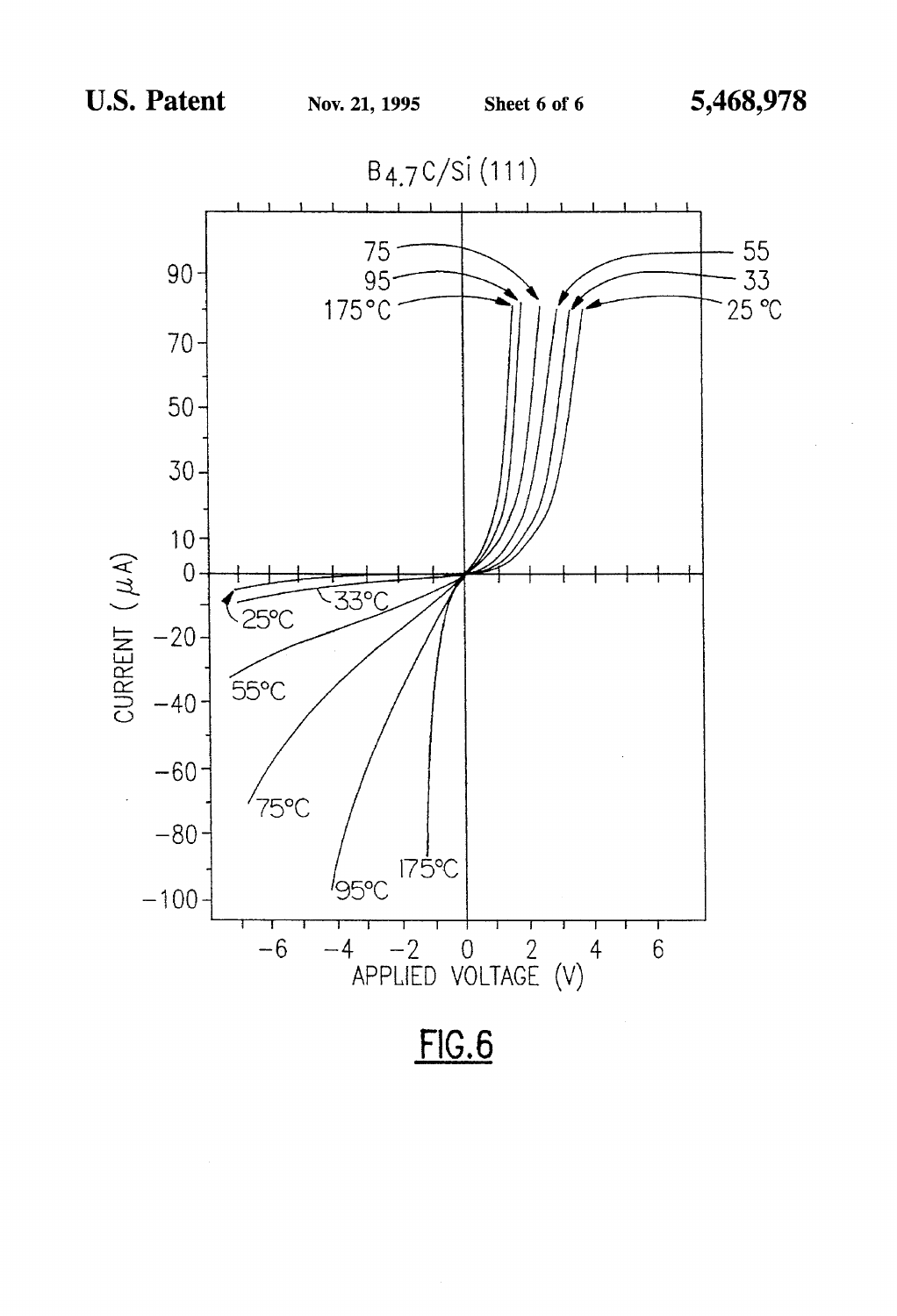

 $FIG.6$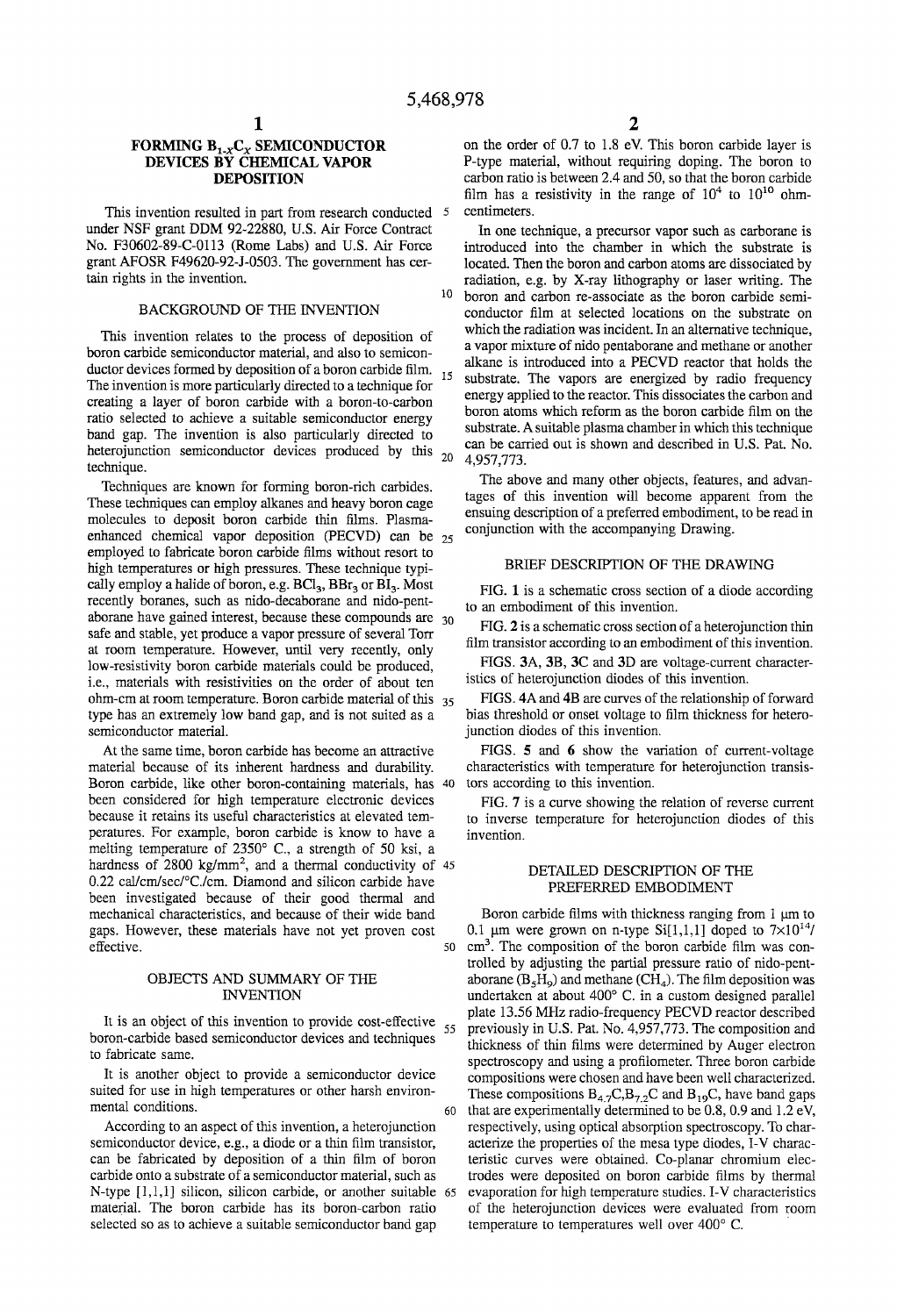10

### FORMING B<sub>1, Y</sub>C<sub>y</sub> SEMICONDUCTOR **DEVICES BY CHEMICAL VAPOR DEPOSITION**

This invention resulted in part from research conducted 5 under NSF grant DDM 92-22880, U.S. Air Force Contract No. F30602-89-C-0113 (Rome Labs) and U.S. Air Force grant AFOSR F49620-92-J-0503. The government has certain rights in the invention.

### BACKGROUND OF THE INVENTION

This invention relates to the process of deposition of boron carbide semiconductor material, and also to semiconductor devices formed by deposition of a boron carbide film.  $15\,$ The invention is more particularly directed to a technique for creating a layer of boron carbide with a boron-to-carbon ratio selected to achieve a suitable semiconductor energy band gap. The invention is also particularly directed to heterojunction semiconductor devices produced by this  $_{20}$ technique.

Techniques are known for forming boron-rich carbides. These techniques can employ alkanes and heavy boron cage molecules to deposit boron carbide thin films. Plasmaenhanced chemical vapor deposition (PECVD) can be employed to fabricate boron carbide films without resort to high temperatures or high pressures. These technique typically employ a halide of boron, e.g.  $BCl_3$ ,  $BBr_3$  or  $BI_3$ . Most<br>recently boranes, such as nido-decaborane and nido-pent-<br>aborane have gained interest, because these compounds are  $\frac{30}{25}$  FIG. 2 is a schematic cross safe and stable, yet produce a vapor pressure of several Torr FIG. **2** is a schematic cross section of a heterographic film<br>transistor according to an embodiment of this invention. at room temperature. However, until very recently, only him transistor according to an embodiment of this invention.<br>In the materials could be produced FIGS. 3A, 3B, 3C and 3D are voltage-current characterlow-resistivity boron carbide materials could be produced, FIGS. 3A, 3B, 3C and 3D are voltage-current i.e. materials with resistivities on the order of about ten istics of heterojunction diodes of this invention. i.e., materials with resistivities on the order of about ten istics of heterojunction diodes of this invention.<br>ohm-cm at room temperature. Boron carbide material of this <sub>35</sub> FIGS. 4A and 4B are curves of the relationship ohm-cm at room temperature. Boron carbide material of this  $35$ type has an extremely low band gap, and is not suited as a bias threshold or onset voltage to film thickness for heterosemiconductor material.  $\qquad \qquad \text{junction} \quad \text{id } \mathcal{C}$ 

At the same time, boron carbide has become an attractive FIGS. 5 and 6 show the variation of current-voltage material because of its inherent hardness and durability. characteristics with temperature for heterojunction tra Boron carbide, like other boron-containing materials, has 40 tors according to this invention. been considered for high temperature electronic devices FIG. 7 is a curve showing the relation of reverse current because it retains its useful characteristics at elevated tem-<br>to inverse temperature for heteroiunction dio peratures. For example, boron carbide is know to have a invention. melting temperature of 2350" C., a strength of 50 ksi, a hardness of 2800 kg/mm<sup>2</sup>, and a thermal conductivity of  $45$  DETAILED DESCRIPTION OF THE 0.22 cal/cm/sec/°C./cm. Diamond and silicon carbide have pretently between EMBODIMENT 0.22 cavent sec/~C./cm. Diamond and silicon carbide have PREFERRED EMBODIMENT been investigated because of their good thermal and mechanical characteristics, and because of their wide band<br>gaps. However, these materials have not yet proven cost  $0.1 \mu m$  were grown on n-type Si[1,1,1] doped to  $7 \times 10^{14}$ /

selected so as to achieve a suitable semiconductor band gap temperature to temperatures well over 400° C.

on the order of 0.7 to 1.8 eV. This boron carbide layer is P-type material, without requiring doping. The boron to carbon ratio is between 2.4 and 50, so that the boron carbide film has a resistivity in the range of  $10^4$  to  $10^{10}$  ohmcentimeters.

In one technique, a precursor vapor such as carborane is introduced into the chamber in which the substrate is located. Then the boron and carbon atoms are dissociated by radiation, e.g. by X-ray lithography or laser writing. The boron and carbon re-associate as the boron carbide semiconductor film at selected locations on the substrate on which the radiation was incident. In an alternative technique, a vapor mixture of nido pentaborane and methane or another alkane is introduced into a PECVD reactor that holds the substrate. The vapors are energized by radio frequency energy applied to the reactor. This dissociates the carbon and boron atoms which reform as the boron carbide film on the substrate. A suitable plasma chamber in which this technique can be carried out is shown and described in U.S. Pat. No. 4,957,773.

The above and many other objects, features, and advantages of this invention will become apparent from the ensuing description of a preferred embodiment, to be read in conjunction with the accompanying Drawing.

### BRIEF DESCRIPTION OF THE DRAWING

characteristics with temperature for heterojunction transis-

to inverse temperature for heterojunction diodes of this

effective. The composition of the boron carbide film was controlled by adjusting the partial pressure ratio of nido-pent-**OBJECTS AND SUMMARY OF THE** aborane  $(B_5H_9)$  and methane  $(CH_4)$ . The film deposition was<br>INVENTION about 400° C. in a custom designed parallel undertaken at about 400° C. in a custom designed parallel It is an object of this invention to provide cost-effective plate 13.56 MHz radio-frequency PECVD reactor described<br>
It is an object of this invention to provide cost-effective 55 previously in U.S. Pat. No. 4,957,773. The boron-carbide based semiconductor devices and techniques<br>to fabricate same.<br>thin films were determined by Auger electron in this were determined by Auger electron. to fabricate same.<br>It is another object to provide a semiconductor device compositions were chosen and have been well characterized It is another object to provide a semiconductor device compositions were chosen and have been well characterized.<br>Suited for use in high temperatures or other harsh environ-<br>These compositions  $B_{\alpha}C_1B_{\alpha}C_2$  and  $B_{\alpha$ suited for use in high temperatures or other harsh environ-<br>mental conditions B<sub>4,7</sub>C,B<sub>7,2</sub>C and B<sub>19</sub>C, have band gaps<br>60 that are experimentally determined to be 0.8, 0.9 and 1.2 eV, According to an aspect of this invention, a heterojunction respectively, using optical absorption spectroscopy. To charsemiconductor device, e.g., a diode or a thin film transistor, acterize the properties of the mesa type diodes, I-V characcan be fabricated by deposition of a thin film of boron teristic curves were obtained. Co-planar chromium eleccarbide onto a substrate of a semiconductor material, such as trodes were deposited on boron carbide films by thermal N-type  $[1,1,1]$  silicon, silicon carbide, or another suitable 65 evaporation for high temperature studies. I-V characteristics material. The boron carbide has its boron-carbon ratio of the heterojunction devices were evaluated from room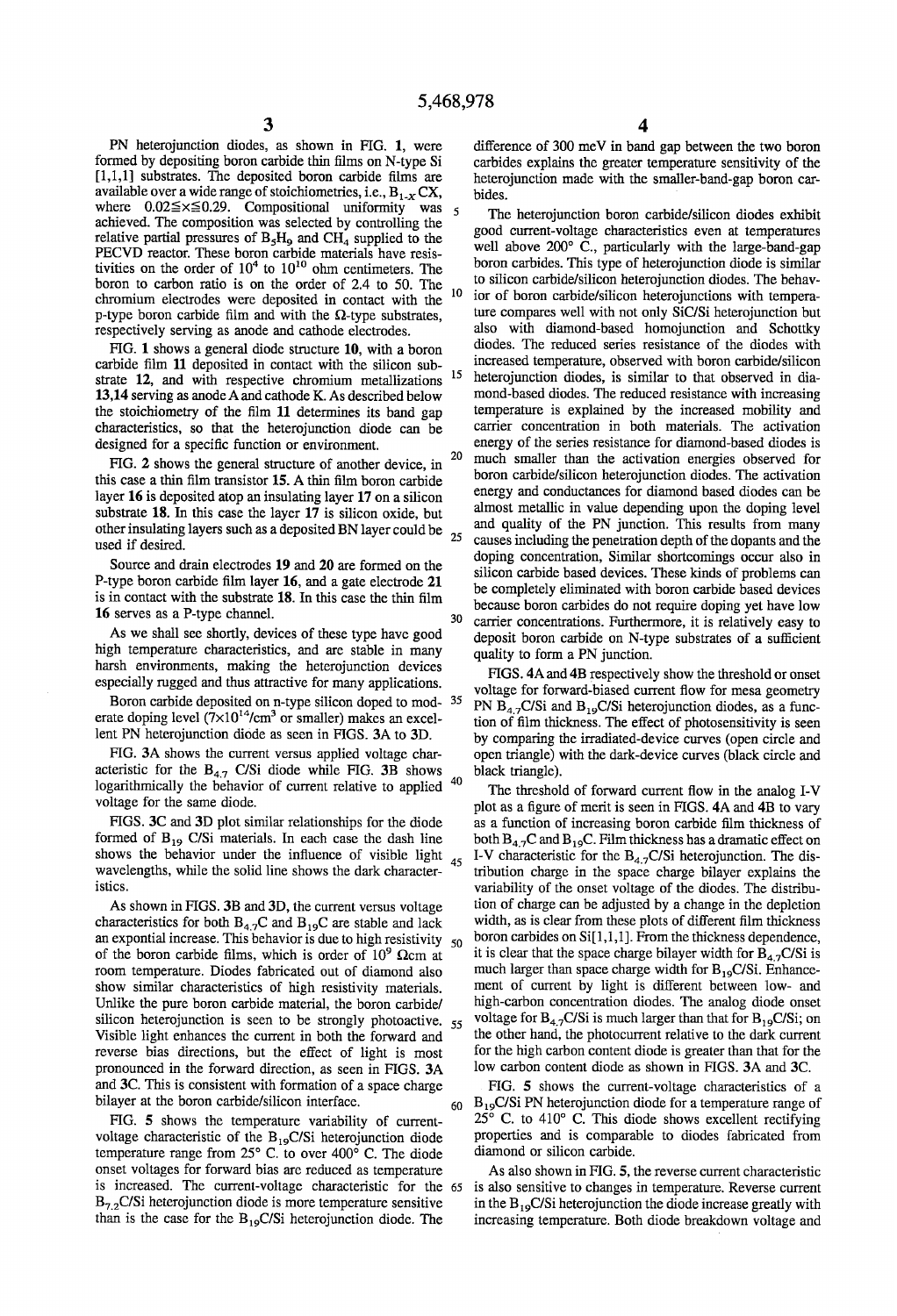PN heterojunction diodes, as shown in FIG. 1, were difference of 300 meV in band gap between the two boron formed by depositing boron carbide thin films on N-type Si carbides explains the greater temperature sensitivity of formed by depositing boron carbide thin films on N-type Si carbides explains the greater temperature sensitivity of the [1,1,1] substrates. The deposited boron carbide films are heterojunction made with the smaller-band-ga available over a wide range of stoichiometries, i.e.,  $B_{1-x} C X$ , bides.<br>where 0.02 $\le x \le 0.29$ . Compositional uniformity was where  $0.02 \le x \le 0.29$ . Compositional uniformity was 5 The heterojunction boron carbide/silicon diodes exhibit achieved. The composition was selected by controlling the explanation. The composition was selected by controlling the<br>
relative partial pressures of  $B_5H_9$  and CH<sub>4</sub> supplied to the<br>
relative particularly with the large-band-gap<br>
relative on the order of 10<sup>4</sup> to 10<sup>10</sup> obm c tivities on the order of  $10^4$  to  $10^{10}$  ohm centimeters. The boron to carbon ratio is on the order of 2.4 to 50. The boron to carbon ratio is on the order of 2.4 to 50. The to silicon carbide/silicon heterojunction diodes. The behav-<br>chromium electrodes were deposited in contact with the  $10$  for of boron carbide/silicon heterojunctions p-type boron carbide film and with the  $\Omega$ -type substrates, ture compares well with not only SiC/Si heterojunction but respectively serving as anode and cathode electrodes. also with diamond-based homojunction and Schott

FIG. 1 shows a general diode structure 10, with a boron carbide film 11 deposited in contact with the silicon sub-13,14 serving as anode A and cathode K. As described below mond-based diodes. The reduced resistance with increasing the stoichiometry of the film 11 determines its band gap temperature is explained by the increased mobili characteristics, so that the heterojunction diode can be designed for a specific function or environment.

this case a thin film transistor 15. A thin film boron carbide other insulating layers such as a deposited BN layer could be  $_{25}$  used if desired.

As we shall see shortly, devices of these type have good<br>high temperature characteristics, and are stable in many<br>harsh environments, making the heterojunction devices<br>specially rugged and thus attractive for many applica

Boron carbide deposited on n-type silicon doped to mod- <sup>35</sup> PN  $B_{4.7}C/Si$  and  $B_{1.9}C/Si$  heterojunction diodes, as a funcerate doping level  $(7\times10^{14}/cm^3$  or smaller) makes an excel-<br>tion of film thickness. The effect

acteristic for the  $B_{4.7}$  C/Si diode while FIG. 3B shows black triangle).<br>logarithmically the habevier of guarant relative to earlier 40 logarithmically the behavior of current relative to applied  $40$  me threshold of forward current flow in the analog I-V voltage for the same diode.

FIGS. 3C and 3D plot similar relationships for the diode as a function of increasing boron carbide film thickness of formed of  $B_{19}$  C/Si materials. In each case the dash line both  $B_{4.2}$ C and  $B_{19}$ C. Film thickness formed of B<sub>19</sub> C/Si materials. In each case the dash line both  $B_{4.7}C$  and  $B_{1.9}C$ . Film thickness has a dramatic effect on shows the behavior under the influence of visible light  $\epsilon$ . I-V characteristic for the B<sub>A</sub> wavelengths, while the solid line shows the dark character- $\frac{1}{2}$  tribution charge in the space charge bilayer explains the

characteristics for both B<sub>4.7</sub>C and B<sub>19</sub>C are stable and lack width, as is clear from these plots of different film thickness an expontial increase. This behavior is due to high resistivity  $\epsilon_0$  boron carbides on Si[1 an expontial increase. This behavior is due to high resistivity  $_{50}$ of the boron carbide films, which is order of 10<sup>9</sup>  $\Omega$ cm at it is clear that the space charge bilayer width for B<sub>4,7</sub>C/Si is room temperature. Diodes fabricated out of diamond also much larger than space charge width for  $B_{19}C/Si$ . Enhanceshow similar characteristics of high resistivity materials. ment of current by light is different between low- and Unlike the pure boron carbide material, the boron carbide/ high-carbon concentration diodes. The analog diode onset silicon heterojunction is seen to be strongly photoactive.  $55$  voltage for  $B_{4.7}C/Si$  is much larger than that for  $B_{1.9}C/Si$ ; on Visible light enhances the current in both the forward and the other hand, the photocurr reverse bias directions, but the effect of light is most for the high carbon content diode is greater than that for the pronounced in the forward direction, as seen in FIGS. 3A low carbon content diode as shown in FIGS. 3A and 3C. and 3C. This is consistent with formation of a space charge FIG. **5** shows the current-voltage characteristics of a bilayer at the boron carbide/silicon interface.  $60 B_{19}C/Si$  PN heterojunction diode for a temperature range of

voltage characteristic of the  $B_{19}C/Si$  heterojunction diode properties and is comparatementure range from 25° C, to over 400° C. The diode diamond or silicon carbide. temperature range from  $25^{\circ}$  C. to over 400 $^{\circ}$  C. The diode onset voltages for forward bias are reduced as temperature As also shown in FIG. **5,** the reverse current characteristic is increased. The current-voltage characteristic for the 65 is also sensitive to changes in temperature. Reverse current  $B_{7,2}$ C/Si heterojunction diode is more temperature sensitive in the  $B_{19}$ C/Si heterojunction the diode increase greatly with

ior of boron carbide/silicon heterojunctions with tempera-<br>ture compares well with not only SiC/Si heterojunction but respectively serving as anode and cathode electrodes. also with diamond-based homojunction and Schottky<br>FIG 1 shows a general diode structure 10 with a boron diodes. The reduced series resistance of the diodes with carbide film 11 deposited in contact with the silicon sub-<br>strate 12, and with respective chromium metallizations  $15$  heterojunction diodes, is similar to that observed in diaheterojunction diodes, is similar to that observed in diatemperature is explained by the increased mobility and carrier concentration in both materials. The activation energy of the series resistance for diamond-based diodes is<br><sup>20</sup> much smaller than the activation energies observed for FIG. 2 shows the general structure of another device, in  $^{20}$  much smaller than the activation energies observed for  $^{16}$  case a thin film transistor  $^{15}$ . A thin film boron carbide, boron carbide/silicon heterojunc layer 16 is deposited atop an insulating layer 17 on a silicon energy and conductances for diamond based diodes can be<br>substrate 18 In this case the layer 17 is silicon a silicon almost metallic in value depending upon the substrate  $18$ . In this case the layer  $17$  is silicon oxide, but<br>other insulating layers such as a deposited BN layer could be and quality of the PN junction. This results from many causes including the penetration depth of the dopants and the doping concentration, Similar shortcomings occur also in Source and drain electrodes 19 and 20 are formed on the<br>P-type boron carbide film layer 16, and a gate electrode 21<br>is in contact with the substrate 18. In this case the thin film<br>becompletely eliminated with boron carbide 16 serves as a P-type channel.<br>
16 serves as a P-type channel.<br>
<sup>30</sup> carrier concentrations. Furthermore, it is relatively easy to<br>
As we shall see shortly, devices of these type have good<br>
denosit horon carbide on N-type

lent PN heterojunction diode as seen in FIGS. 3A to 3D. by comparing the irradiated-device curves (open circle and FIG. 3A shows the current versus applied voltage char- open triangle) with the dark-device curves (black circle and

ltage for the same diode.<br>FIGS. 3C and 3D plot similar relationships for the diode as a function of increasing boron carbide film thickness of  $s<sub>45</sub>$  I-V characteristic for the B<sub>4.7</sub>C/Si heterojunction. The disistics. variability of the onset voltage of the diodes. The distribu-As shown in FIGS. 3B and 3D, the current versus voltage tion of charge can be adjusted by a change in the depletion

FIG. **5** shows the temperature variability of current-<br> $25^{\circ}$  C. to 410° C. This diode shows excellent rectifying<br>blage characteristic of the B<sub>10</sub>C/Si heterojunction diode properties and is comparable to diodes fabrica

than is the case for the  $B_{19}C/Si$  heterojunction diode. The increasing temperature. Both diode breakdown voltage and